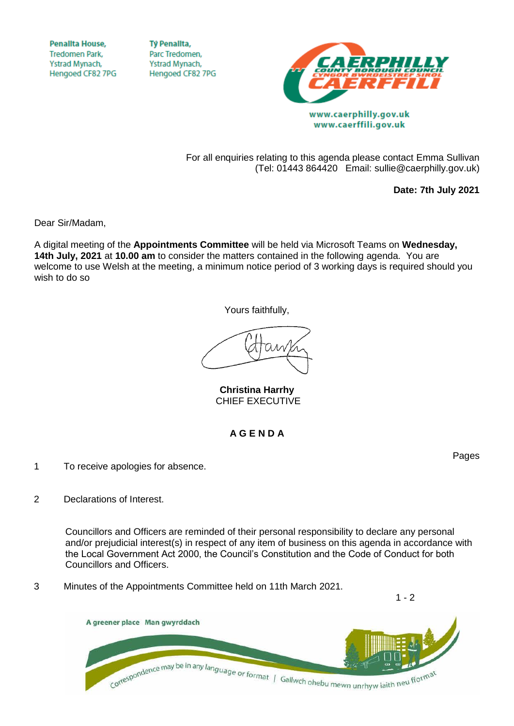**Penallta House, Tredomen Park.** Ystrad Mynach, Hengoed CF82 7PG

**Tỷ Penalita,** Parc Tredomen. Ystrad Mynach, Hengoed CF82 7PG



www.caerphilly.gov.uk www.caerffili.gov.uk

For all enquiries relating to this agenda please contact Emma Sullivan (Tel: 01443 864420 Email: sullie@caerphilly.gov.uk)

**Date: 7th July 2021**

Dear Sir/Madam,

A digital meeting of the **Appointments Committee** will be held via Microsoft Teams on **Wednesday, 14th July, 2021** at **10.00 am** to consider the matters contained in the following agenda. You are welcome to use Welsh at the meeting, a minimum notice period of 3 working days is required should you wish to do so

Yours faithfully,

**Christina Harrhy** CHIEF EXECUTIVE

## **A G E N D A**

- 1 To receive apologies for absence.
- 2 Declarations of Interest.

Councillors and Officers are reminded of their personal responsibility to declare any personal and/or prejudicial interest(s) in respect of any item of business on this agenda in accordance with the Local Government Act 2000, the Council's Constitution and the Code of Conduct for both Councillors and Officers.

3 Minutes of the Appointments Committee held on 11th March 2021.

A greener place Man gwyrddach Correspondence may be in any language or format | Gallwch ohebu mewn unrhyw iaith neu fformat

Pages

 $1 - 2$